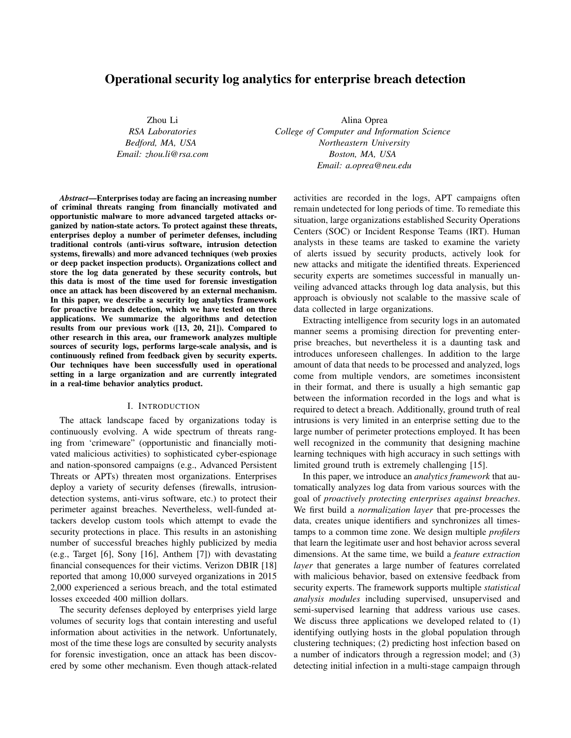# Operational security log analytics for enterprise breach detection

Zhou Li *RSA Laboratories Bedford, MA, USA Email: zhou.li@rsa.com*

Alina Oprea *College of Computer and Information Science Northeastern University Boston, MA, USA Email: a.oprea@neu.edu*

*Abstract*—Enterprises today are facing an increasing number of criminal threats ranging from financially motivated and opportunistic malware to more advanced targeted attacks organized by nation-state actors. To protect against these threats, enterprises deploy a number of perimeter defenses, including traditional controls (anti-virus software, intrusion detection systems, firewalls) and more advanced techniques (web proxies or deep packet inspection products). Organizations collect and store the log data generated by these security controls, but this data is most of the time used for forensic investigation once an attack has been discovered by an external mechanism. In this paper, we describe a security log analytics framework for proactive breach detection, which we have tested on three applications. We summarize the algorithms and detection results from our previous work ([13, 20, 21]). Compared to other research in this area, our framework analyzes multiple sources of security logs, performs large-scale analysis, and is continuously refined from feedback given by security experts. Our techniques have been successfully used in operational setting in a large organization and are currently integrated in a real-time behavior analytics product.

# I. INTRODUCTION

The attack landscape faced by organizations today is continuously evolving. A wide spectrum of threats ranging from 'crimeware" (opportunistic and financially motivated malicious activities) to sophisticated cyber-espionage and nation-sponsored campaigns (e.g., Advanced Persistent Threats or APTs) threaten most organizations. Enterprises deploy a variety of security defenses (firewalls, intrusiondetection systems, anti-virus software, etc.) to protect their perimeter against breaches. Nevertheless, well-funded attackers develop custom tools which attempt to evade the security protections in place. This results in an astonishing number of successful breaches highly publicized by media (e.g., Target [6], Sony [16], Anthem [7]) with devastating financial consequences for their victims. Verizon DBIR [18] reported that among 10,000 surveyed organizations in 2015 2,000 experienced a serious breach, and the total estimated losses exceeded 400 million dollars.

The security defenses deployed by enterprises yield large volumes of security logs that contain interesting and useful information about activities in the network. Unfortunately, most of the time these logs are consulted by security analysts for forensic investigation, once an attack has been discovered by some other mechanism. Even though attack-related activities are recorded in the logs, APT campaigns often remain undetected for long periods of time. To remediate this situation, large organizations established Security Operations Centers (SOC) or Incident Response Teams (IRT). Human analysts in these teams are tasked to examine the variety of alerts issued by security products, actively look for new attacks and mitigate the identified threats. Experienced security experts are sometimes successful in manually unveiling advanced attacks through log data analysis, but this approach is obviously not scalable to the massive scale of data collected in large organizations.

Extracting intelligence from security logs in an automated manner seems a promising direction for preventing enterprise breaches, but nevertheless it is a daunting task and introduces unforeseen challenges. In addition to the large amount of data that needs to be processed and analyzed, logs come from multiple vendors, are sometimes inconsistent in their format, and there is usually a high semantic gap between the information recorded in the logs and what is required to detect a breach. Additionally, ground truth of real intrusions is very limited in an enterprise setting due to the large number of perimeter protections employed. It has been well recognized in the community that designing machine learning techniques with high accuracy in such settings with limited ground truth is extremely challenging [15].

In this paper, we introduce an *analytics framework* that automatically analyzes log data from various sources with the goal of *proactively protecting enterprises against breaches*. We first build a *normalization layer* that pre-processes the data, creates unique identifiers and synchronizes all timestamps to a common time zone. We design multiple *profilers* that learn the legitimate user and host behavior across several dimensions. At the same time, we build a *feature extraction layer* that generates a large number of features correlated with malicious behavior, based on extensive feedback from security experts. The framework supports multiple *statistical analysis modules* including supervised, unsupervised and semi-supervised learning that address various use cases. We discuss three applications we developed related to  $(1)$ identifying outlying hosts in the global population through clustering techniques; (2) predicting host infection based on a number of indicators through a regression model; and (3) detecting initial infection in a multi-stage campaign through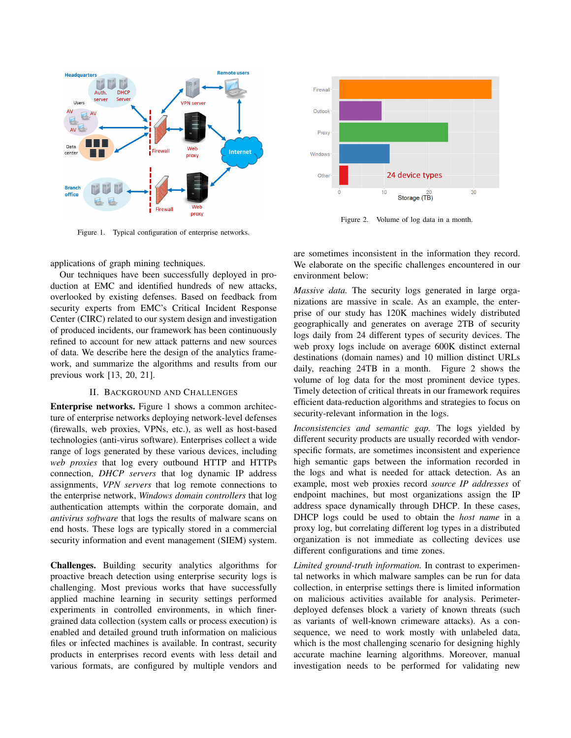

Figure 1. Typical configuration of enterprise networks.

applications of graph mining techniques.

Our techniques have been successfully deployed in production at EMC and identified hundreds of new attacks, overlooked by existing defenses. Based on feedback from security experts from EMC's Critical Incident Response Center (CIRC) related to our system design and investigation of produced incidents, our framework has been continuously refined to account for new attack patterns and new sources of data. We describe here the design of the analytics framework, and summarize the algorithms and results from our previous work [13, 20, 21].

#### II. BACKGROUND AND CHALLENGES

Enterprise networks. Figure 1 shows a common architecture of enterprise networks deploying network-level defenses (firewalls, web proxies, VPNs, etc.), as well as host-based technologies (anti-virus software). Enterprises collect a wide range of logs generated by these various devices, including *web proxies* that log every outbound HTTP and HTTPs connection, *DHCP servers* that log dynamic IP address assignments, *VPN servers* that log remote connections to the enterprise network, *Windows domain controllers* that log authentication attempts within the corporate domain, and *antivirus software* that logs the results of malware scans on end hosts. These logs are typically stored in a commercial security information and event management (SIEM) system.

Challenges. Building security analytics algorithms for proactive breach detection using enterprise security logs is challenging. Most previous works that have successfully applied machine learning in security settings performed experiments in controlled environments, in which finergrained data collection (system calls or process execution) is enabled and detailed ground truth information on malicious files or infected machines is available. In contrast, security products in enterprises record events with less detail and various formats, are configured by multiple vendors and



Figure 2. Volume of log data in a month.

are sometimes inconsistent in the information they record. We elaborate on the specific challenges encountered in our environment below:

*Massive data.* The security logs generated in large organizations are massive in scale. As an example, the enterprise of our study has 120K machines widely distributed geographically and generates on average 2TB of security logs daily from 24 different types of security devices. The web proxy logs include on average 600K distinct external destinations (domain names) and 10 million distinct URLs daily, reaching 24TB in a month. Figure 2 shows the volume of log data for the most prominent device types. Timely detection of critical threats in our framework requires efficient data-reduction algorithms and strategies to focus on security-relevant information in the logs.

*Inconsistencies and semantic gap.* The logs yielded by different security products are usually recorded with vendorspecific formats, are sometimes inconsistent and experience high semantic gaps between the information recorded in the logs and what is needed for attack detection. As an example, most web proxies record *source IP addresses* of endpoint machines, but most organizations assign the IP address space dynamically through DHCP. In these cases, DHCP logs could be used to obtain the *host name* in a proxy log, but correlating different log types in a distributed organization is not immediate as collecting devices use different configurations and time zones.

*Limited ground-truth information.* In contrast to experimental networks in which malware samples can be run for data collection, in enterprise settings there is limited information on malicious activities available for analysis. Perimeterdeployed defenses block a variety of known threats (such as variants of well-known crimeware attacks). As a consequence, we need to work mostly with unlabeled data, which is the most challenging scenario for designing highly accurate machine learning algorithms. Moreover, manual investigation needs to be performed for validating new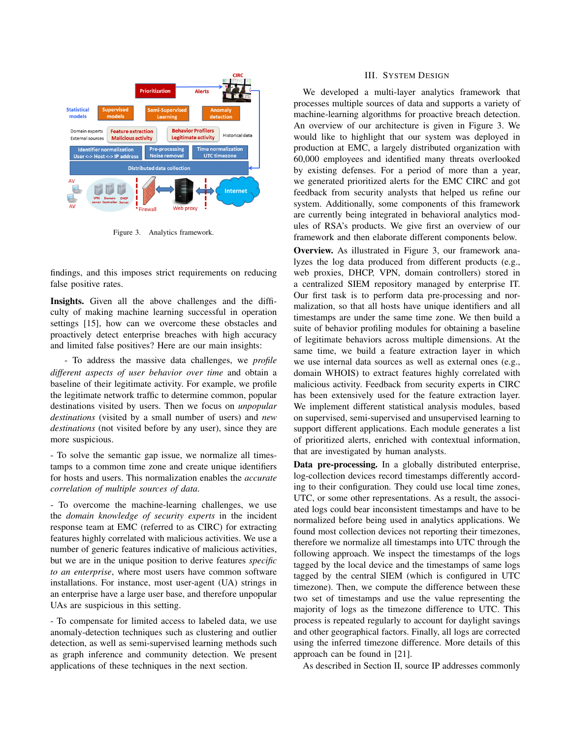

Figure 3. Analytics framework.

findings, and this imposes strict requirements on reducing false positive rates.

Insights. Given all the above challenges and the difficulty of making machine learning successful in operation settings [15], how can we overcome these obstacles and proactively detect enterprise breaches with high accuracy and limited false positives? Here are our main insights:

- To address the massive data challenges, we *profile different aspects of user behavior over time* and obtain a baseline of their legitimate activity. For example, we profile the legitimate network traffic to determine common, popular destinations visited by users. Then we focus on *unpopular destinations* (visited by a small number of users) and *new destinations* (not visited before by any user), since they are more suspicious.

- To solve the semantic gap issue, we normalize all timestamps to a common time zone and create unique identifiers for hosts and users. This normalization enables the *accurate correlation of multiple sources of data*.

- To overcome the machine-learning challenges, we use the *domain knowledge of security experts* in the incident response team at EMC (referred to as CIRC) for extracting features highly correlated with malicious activities. We use a number of generic features indicative of malicious activities, but we are in the unique position to derive features *specific to an enterprise*, where most users have common software installations. For instance, most user-agent (UA) strings in an enterprise have a large user base, and therefore unpopular UAs are suspicious in this setting.

- To compensate for limited access to labeled data, we use anomaly-detection techniques such as clustering and outlier detection, as well as semi-supervised learning methods such as graph inference and community detection. We present applications of these techniques in the next section.

# III. SYSTEM DESIGN

We developed a multi-layer analytics framework that processes multiple sources of data and supports a variety of machine-learning algorithms for proactive breach detection. An overview of our architecture is given in Figure 3. We would like to highlight that our system was deployed in production at EMC, a largely distributed organization with 60,000 employees and identified many threats overlooked by existing defenses. For a period of more than a year, we generated prioritized alerts for the EMC CIRC and got feedback from security analysts that helped us refine our system. Additionally, some components of this framework are currently being integrated in behavioral analytics modules of RSA's products. We give first an overview of our framework and then elaborate different components below.

Overview. As illustrated in Figure 3, our framework analyzes the log data produced from different products (e.g., web proxies, DHCP, VPN, domain controllers) stored in a centralized SIEM repository managed by enterprise IT. Our first task is to perform data pre-processing and normalization, so that all hosts have unique identifiers and all timestamps are under the same time zone. We then build a suite of behavior profiling modules for obtaining a baseline of legitimate behaviors across multiple dimensions. At the same time, we build a feature extraction layer in which we use internal data sources as well as external ones (e.g., domain WHOIS) to extract features highly correlated with malicious activity. Feedback from security experts in CIRC has been extensively used for the feature extraction layer. We implement different statistical analysis modules, based on supervised, semi-supervised and unsupervised learning to support different applications. Each module generates a list of prioritized alerts, enriched with contextual information, that are investigated by human analysts.

Data pre-processing. In a globally distributed enterprise, log-collection devices record timestamps differently according to their configuration. They could use local time zones, UTC, or some other representations. As a result, the associated logs could bear inconsistent timestamps and have to be normalized before being used in analytics applications. We found most collection devices not reporting their timezones, therefore we normalize all timestamps into UTC through the following approach. We inspect the timestamps of the logs tagged by the local device and the timestamps of same logs tagged by the central SIEM (which is configured in UTC timezone). Then, we compute the difference between these two set of timestamps and use the value representing the majority of logs as the timezone difference to UTC. This process is repeated regularly to account for daylight savings and other geographical factors. Finally, all logs are corrected using the inferred timezone difference. More details of this approach can be found in [21].

As described in Section II, source IP addresses commonly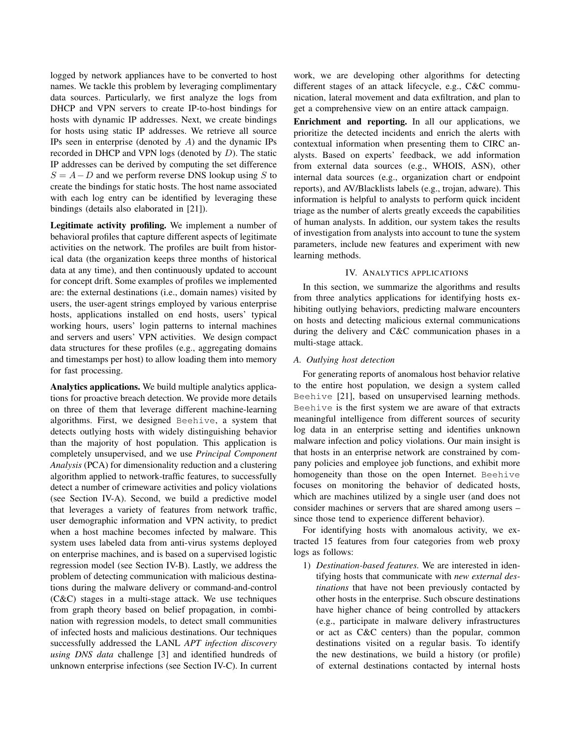logged by network appliances have to be converted to host names. We tackle this problem by leveraging complimentary data sources. Particularly, we first analyze the logs from DHCP and VPN servers to create IP-to-host bindings for hosts with dynamic IP addresses. Next, we create bindings for hosts using static IP addresses. We retrieve all source IPs seen in enterprise (denoted by  $A$ ) and the dynamic IPs recorded in DHCP and VPN logs (denoted by D). The static IP addresses can be derived by computing the set difference  $S = A - D$  and we perform reverse DNS lookup using S to create the bindings for static hosts. The host name associated with each log entry can be identified by leveraging these bindings (details also elaborated in [21]).

Legitimate activity profiling. We implement a number of behavioral profiles that capture different aspects of legitimate activities on the network. The profiles are built from historical data (the organization keeps three months of historical data at any time), and then continuously updated to account for concept drift. Some examples of profiles we implemented are: the external destinations (i.e., domain names) visited by users, the user-agent strings employed by various enterprise hosts, applications installed on end hosts, users' typical working hours, users' login patterns to internal machines and servers and users' VPN activities. We design compact data structures for these profiles (e.g., aggregating domains and timestamps per host) to allow loading them into memory for fast processing.

Analytics applications. We build multiple analytics applications for proactive breach detection. We provide more details on three of them that leverage different machine-learning algorithms. First, we designed Beehive, a system that detects outlying hosts with widely distinguishing behavior than the majority of host population. This application is completely unsupervised, and we use *Principal Component Analysis* (PCA) for dimensionality reduction and a clustering algorithm applied to network-traffic features, to successfully detect a number of crimeware activities and policy violations (see Section IV-A). Second, we build a predictive model that leverages a variety of features from network traffic, user demographic information and VPN activity, to predict when a host machine becomes infected by malware. This system uses labeled data from anti-virus systems deployed on enterprise machines, and is based on a supervised logistic regression model (see Section IV-B). Lastly, we address the problem of detecting communication with malicious destinations during the malware delivery or command-and-control (C&C) stages in a multi-stage attack. We use techniques from graph theory based on belief propagation, in combination with regression models, to detect small communities of infected hosts and malicious destinations. Our techniques successfully addressed the LANL *APT infection discovery using DNS data* challenge [3] and identified hundreds of unknown enterprise infections (see Section IV-C). In current work, we are developing other algorithms for detecting different stages of an attack lifecycle, e.g., C&C communication, lateral movement and data exfiltration, and plan to get a comprehensive view on an entire attack campaign.

Enrichment and reporting. In all our applications, we prioritize the detected incidents and enrich the alerts with contextual information when presenting them to CIRC analysts. Based on experts' feedback, we add information from external data sources (e.g., WHOIS, ASN), other internal data sources (e.g., organization chart or endpoint reports), and AV/Blacklists labels (e.g., trojan, adware). This information is helpful to analysts to perform quick incident triage as the number of alerts greatly exceeds the capabilities of human analysts. In addition, our system takes the results of investigation from analysts into account to tune the system parameters, include new features and experiment with new learning methods.

# IV. ANALYTICS APPLICATIONS

In this section, we summarize the algorithms and results from three analytics applications for identifying hosts exhibiting outlying behaviors, predicting malware encounters on hosts and detecting malicious external communications during the delivery and C&C communication phases in a multi-stage attack.

# *A. Outlying host detection*

For generating reports of anomalous host behavior relative to the entire host population, we design a system called Beehive [21], based on unsupervised learning methods. Beehive is the first system we are aware of that extracts meaningful intelligence from different sources of security log data in an enterprise setting and identifies unknown malware infection and policy violations. Our main insight is that hosts in an enterprise network are constrained by company policies and employee job functions, and exhibit more homogeneity than those on the open Internet. Beehive focuses on monitoring the behavior of dedicated hosts, which are machines utilized by a single user (and does not consider machines or servers that are shared among users – since those tend to experience different behavior).

For identifying hosts with anomalous activity, we extracted 15 features from four categories from web proxy logs as follows:

1) *Destination-based features.* We are interested in identifying hosts that communicate with *new external destinations* that have not been previously contacted by other hosts in the enterprise. Such obscure destinations have higher chance of being controlled by attackers (e.g., participate in malware delivery infrastructures or act as C&C centers) than the popular, common destinations visited on a regular basis. To identify the new destinations, we build a history (or profile) of external destinations contacted by internal hosts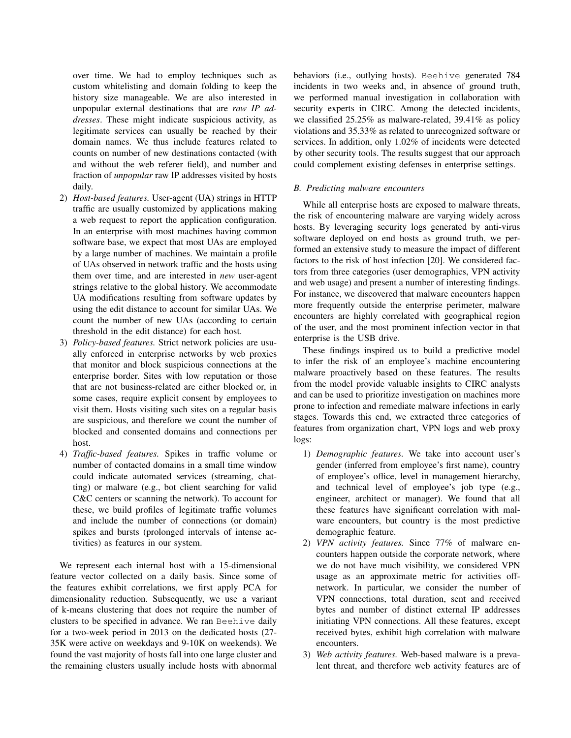over time. We had to employ techniques such as custom whitelisting and domain folding to keep the history size manageable. We are also interested in unpopular external destinations that are *raw IP addresses*. These might indicate suspicious activity, as legitimate services can usually be reached by their domain names. We thus include features related to counts on number of new destinations contacted (with and without the web referer field), and number and fraction of *unpopular* raw IP addresses visited by hosts daily.

- 2) *Host-based features.* User-agent (UA) strings in HTTP traffic are usually customized by applications making a web request to report the application configuration. In an enterprise with most machines having common software base, we expect that most UAs are employed by a large number of machines. We maintain a profile of UAs observed in network traffic and the hosts using them over time, and are interested in *new* user-agent strings relative to the global history. We accommodate UA modifications resulting from software updates by using the edit distance to account for similar UAs. We count the number of new UAs (according to certain threshold in the edit distance) for each host.
- 3) *Policy-based features.* Strict network policies are usually enforced in enterprise networks by web proxies that monitor and block suspicious connections at the enterprise border. Sites with low reputation or those that are not business-related are either blocked or, in some cases, require explicit consent by employees to visit them. Hosts visiting such sites on a regular basis are suspicious, and therefore we count the number of blocked and consented domains and connections per host.
- 4) *Traffic-based features.* Spikes in traffic volume or number of contacted domains in a small time window could indicate automated services (streaming, chatting) or malware (e.g., bot client searching for valid C&C centers or scanning the network). To account for these, we build profiles of legitimate traffic volumes and include the number of connections (or domain) spikes and bursts (prolonged intervals of intense activities) as features in our system.

We represent each internal host with a 15-dimensional feature vector collected on a daily basis. Since some of the features exhibit correlations, we first apply PCA for dimensionality reduction. Subsequently, we use a variant of k-means clustering that does not require the number of clusters to be specified in advance. We ran Beehive daily for a two-week period in 2013 on the dedicated hosts (27- 35K were active on weekdays and 9-10K on weekends). We found the vast majority of hosts fall into one large cluster and the remaining clusters usually include hosts with abnormal

behaviors (i.e., outlying hosts). Beehive generated 784 incidents in two weeks and, in absence of ground truth, we performed manual investigation in collaboration with security experts in CIRC. Among the detected incidents, we classified 25.25% as malware-related, 39.41% as policy violations and 35.33% as related to unrecognized software or services. In addition, only 1.02% of incidents were detected by other security tools. The results suggest that our approach could complement existing defenses in enterprise settings.

## *B. Predicting malware encounters*

While all enterprise hosts are exposed to malware threats, the risk of encountering malware are varying widely across hosts. By leveraging security logs generated by anti-virus software deployed on end hosts as ground truth, we performed an extensive study to measure the impact of different factors to the risk of host infection [20]. We considered factors from three categories (user demographics, VPN activity and web usage) and present a number of interesting findings. For instance, we discovered that malware encounters happen more frequently outside the enterprise perimeter, malware encounters are highly correlated with geographical region of the user, and the most prominent infection vector in that enterprise is the USB drive.

These findings inspired us to build a predictive model to infer the risk of an employee's machine encountering malware proactively based on these features. The results from the model provide valuable insights to CIRC analysts and can be used to prioritize investigation on machines more prone to infection and remediate malware infections in early stages. Towards this end, we extracted three categories of features from organization chart, VPN logs and web proxy logs:

- 1) *Demographic features.* We take into account user's gender (inferred from employee's first name), country of employee's office, level in management hierarchy, and technical level of employee's job type (e.g., engineer, architect or manager). We found that all these features have significant correlation with malware encounters, but country is the most predictive demographic feature.
- 2) *VPN activity features.* Since 77% of malware encounters happen outside the corporate network, where we do not have much visibility, we considered VPN usage as an approximate metric for activities offnetwork. In particular, we consider the number of VPN connections, total duration, sent and received bytes and number of distinct external IP addresses initiating VPN connections. All these features, except received bytes, exhibit high correlation with malware encounters.
- 3) *Web activity features.* Web-based malware is a prevalent threat, and therefore web activity features are of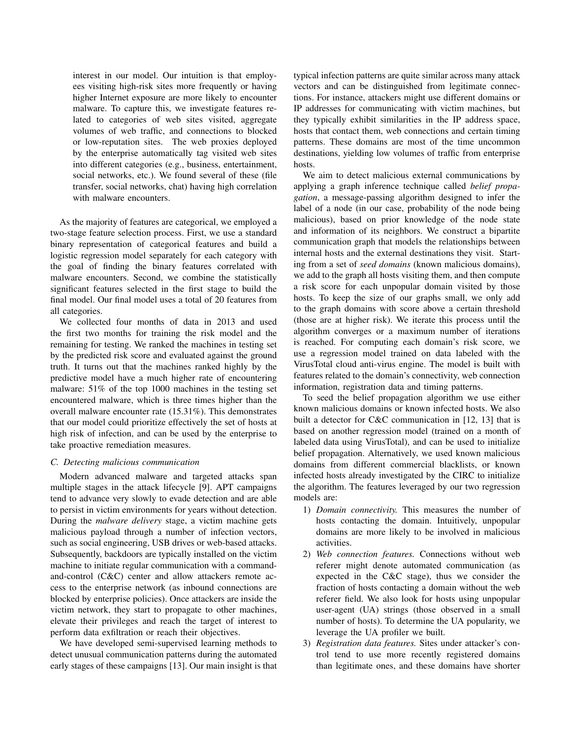interest in our model. Our intuition is that employees visiting high-risk sites more frequently or having higher Internet exposure are more likely to encounter malware. To capture this, we investigate features related to categories of web sites visited, aggregate volumes of web traffic, and connections to blocked or low-reputation sites. The web proxies deployed by the enterprise automatically tag visited web sites into different categories (e.g., business, entertainment, social networks, etc.). We found several of these (file transfer, social networks, chat) having high correlation with malware encounters.

As the majority of features are categorical, we employed a two-stage feature selection process. First, we use a standard binary representation of categorical features and build a logistic regression model separately for each category with the goal of finding the binary features correlated with malware encounters. Second, we combine the statistically significant features selected in the first stage to build the final model. Our final model uses a total of 20 features from all categories.

We collected four months of data in 2013 and used the first two months for training the risk model and the remaining for testing. We ranked the machines in testing set by the predicted risk score and evaluated against the ground truth. It turns out that the machines ranked highly by the predictive model have a much higher rate of encountering malware: 51% of the top 1000 machines in the testing set encountered malware, which is three times higher than the overall malware encounter rate (15.31%). This demonstrates that our model could prioritize effectively the set of hosts at high risk of infection, and can be used by the enterprise to take proactive remediation measures.

## *C. Detecting malicious communication*

Modern advanced malware and targeted attacks span multiple stages in the attack lifecycle [9]. APT campaigns tend to advance very slowly to evade detection and are able to persist in victim environments for years without detection. During the *malware delivery* stage, a victim machine gets malicious payload through a number of infection vectors, such as social engineering, USB drives or web-based attacks. Subsequently, backdoors are typically installed on the victim machine to initiate regular communication with a commandand-control (C&C) center and allow attackers remote access to the enterprise network (as inbound connections are blocked by enterprise policies). Once attackers are inside the victim network, they start to propagate to other machines, elevate their privileges and reach the target of interest to perform data exfiltration or reach their objectives.

We have developed semi-supervised learning methods to detect unusual communication patterns during the automated early stages of these campaigns [13]. Our main insight is that typical infection patterns are quite similar across many attack vectors and can be distinguished from legitimate connections. For instance, attackers might use different domains or IP addresses for communicating with victim machines, but they typically exhibit similarities in the IP address space, hosts that contact them, web connections and certain timing patterns. These domains are most of the time uncommon destinations, yielding low volumes of traffic from enterprise hosts.

We aim to detect malicious external communications by applying a graph inference technique called *belief propagation*, a message-passing algorithm designed to infer the label of a node (in our case, probability of the node being malicious), based on prior knowledge of the node state and information of its neighbors. We construct a bipartite communication graph that models the relationships between internal hosts and the external destinations they visit. Starting from a set of *seed domains* (known malicious domains), we add to the graph all hosts visiting them, and then compute a risk score for each unpopular domain visited by those hosts. To keep the size of our graphs small, we only add to the graph domains with score above a certain threshold (those are at higher risk). We iterate this process until the algorithm converges or a maximum number of iterations is reached. For computing each domain's risk score, we use a regression model trained on data labeled with the VirusTotal cloud anti-virus engine. The model is built with features related to the domain's connectivity, web connection information, registration data and timing patterns.

To seed the belief propagation algorithm we use either known malicious domains or known infected hosts. We also built a detector for C&C communication in [12, 13] that is based on another regression model (trained on a month of labeled data using VirusTotal), and can be used to initialize belief propagation. Alternatively, we used known malicious domains from different commercial blacklists, or known infected hosts already investigated by the CIRC to initialize the algorithm. The features leveraged by our two regression models are:

- 1) *Domain connectivity.* This measures the number of hosts contacting the domain. Intuitively, unpopular domains are more likely to be involved in malicious activities.
- 2) *Web connection features.* Connections without web referer might denote automated communication (as expected in the C&C stage), thus we consider the fraction of hosts contacting a domain without the web referer field. We also look for hosts using unpopular user-agent (UA) strings (those observed in a small number of hosts). To determine the UA popularity, we leverage the UA profiler we built.
- 3) *Registration data features.* Sites under attacker's control tend to use more recently registered domains than legitimate ones, and these domains have shorter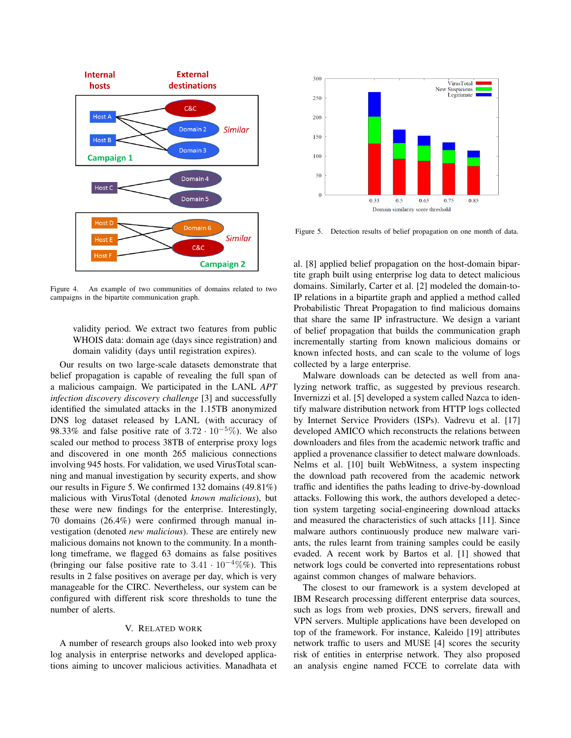

Figure 4. An example of two communities of domains related to two campaigns in the bipartite communication graph.

validity period. We extract two features from public WHOIS data: domain age (days since registration) and domain validity (days until registration expires).

Our results on two large-scale datasets demonstrate that belief propagation is capable of revealing the full span of a malicious campaign. We participated in the LANL *APT infection discovery discovery challenge* [3] and successfully identified the simulated attacks in the 1.15TB anonymized DNS log dataset released by LANL (with accuracy of 98.33% and false positive rate of  $3.72 \cdot 10^{-5}$ %). We also scaled our method to process 38TB of enterprise proxy logs and discovered in one month 265 malicious connections involving 945 hosts. For validation, we used VirusTotal scanning and manual investigation by security experts, and show our results in Figure 5. We confirmed 132 domains (49.81%) malicious with VirusTotal (denoted *known malicious*), but these were new findings for the enterprise. Interestingly, 70 domains (26.4%) were confirmed through manual investigation (denoted *new malicious*). These are entirely new malicious domains not known to the community. In a monthlong timeframe, we flagged 63 domains as false positives (bringing our false positive rate to  $3.41 \cdot 10^{-4}\%$ %). This results in 2 false positives on average per day, which is very manageable for the CIRC. Nevertheless, our system can be configured with different risk score thresholds to tune the number of alerts.

## V. RELATED WORK

A number of research groups also looked into web proxy log analysis in enterprise networks and developed applications aiming to uncover malicious activities. Manadhata et



Figure 5. Detection results of belief propagation on one month of data.

al. [8] applied belief propagation on the host-domain bipartite graph built using enterprise log data to detect malicious domains. Similarly, Carter et al. [2] modeled the domain-to-IP relations in a bipartite graph and applied a method called Probabilistic Threat Propagation to find malicious domains that share the same IP infrastructure. We design a variant of belief propagation that builds the communication graph incrementally starting from known malicious domains or known infected hosts, and can scale to the volume of logs collected by a large enterprise.

Malware downloads can be detected as well from analyzing network traffic, as suggested by previous research. Invernizzi et al. [5] developed a system called Nazca to identify malware distribution network from HTTP logs collected by Internet Service Providers (ISPs). Vadrevu et al. [17] developed AMICO which reconstructs the relations between downloaders and files from the academic network traffic and applied a provenance classifier to detect malware downloads. Nelms et al. [10] built WebWitness, a system inspecting the download path recovered from the academic network traffic and identifies the paths leading to drive-by-download attacks. Following this work, the authors developed a detection system targeting social-engineering download attacks and measured the characteristics of such attacks [11]. Since malware authors continuously produce new malware variants, the rules learnt from training samples could be easily evaded. A recent work by Bartos et al. [1] showed that network logs could be converted into representations robust against common changes of malware behaviors.

The closest to our framework is a system developed at IBM Research processing different enterprise data sources, such as logs from web proxies, DNS servers, firewall and VPN servers. Multiple applications have been developed on top of the framework. For instance, Kaleido [19] attributes network traffic to users and MUSE [4] scores the security risk of entities in enterprise network. They also proposed an analysis engine named FCCE to correlate data with